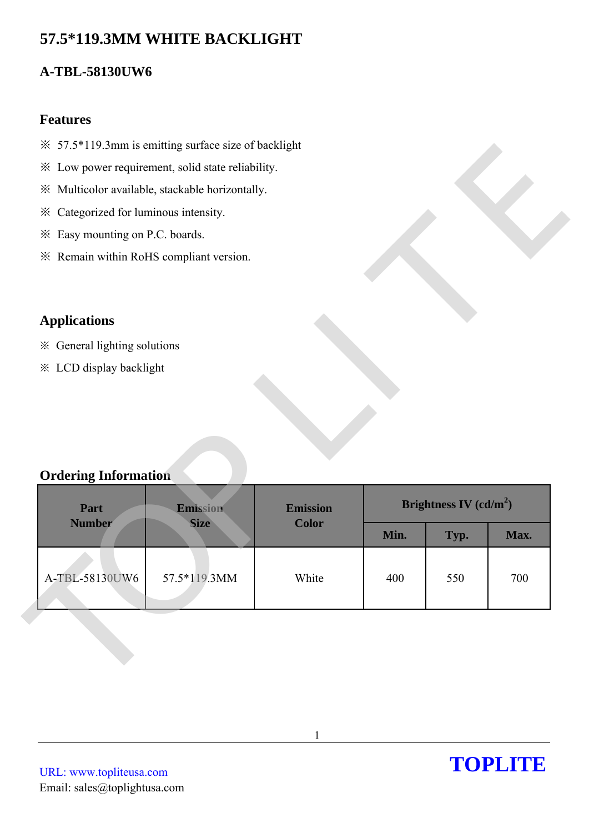# **57.5\*119.3MM WHITE BACKLIGHT**

## **A-TBL-58130UW6**

#### **Features**

- ※ 57.5\*119.3mm is emitting surface size of backlight
- ※ Low power requirement, solid state reliability.
- ※ Multicolor available, stackable horizontally.
- ※ Categorized for luminous intensity.
- ※ Easy mounting on P.C. boards.
- ※ Remain within RoHS compliant version.

## **Applications**

### **Ordering Information**

| * Low power requirement, solid state reliability.<br>※ Multicolor available, stackable horizontally.<br>* Categorized for luminous intensity.<br>* Easy mounting on P.C. boards.<br>* Remain within RoHS compliant version.<br><b>Applications</b><br>※ General lighting solutions<br>* LCD display backlight<br><b>Ordering Information</b><br>Brightness IV $(cd/m^2)$<br>Part<br>Emission<br><b>Emission</b><br><b>Number</b><br><b>Color</b><br><b>Size</b><br>Min.<br>Typ.<br>Max.<br>A-TBL-58130UW6<br>White<br>57.5*119.3MM<br>400<br>550<br>700 | $\frac{1}{2}$ 57.5*119.3mm is emitting surface size of backlight |  |  |  |  |
|---------------------------------------------------------------------------------------------------------------------------------------------------------------------------------------------------------------------------------------------------------------------------------------------------------------------------------------------------------------------------------------------------------------------------------------------------------------------------------------------------------------------------------------------------------|------------------------------------------------------------------|--|--|--|--|
|                                                                                                                                                                                                                                                                                                                                                                                                                                                                                                                                                         |                                                                  |  |  |  |  |
|                                                                                                                                                                                                                                                                                                                                                                                                                                                                                                                                                         |                                                                  |  |  |  |  |
|                                                                                                                                                                                                                                                                                                                                                                                                                                                                                                                                                         |                                                                  |  |  |  |  |
|                                                                                                                                                                                                                                                                                                                                                                                                                                                                                                                                                         |                                                                  |  |  |  |  |
|                                                                                                                                                                                                                                                                                                                                                                                                                                                                                                                                                         |                                                                  |  |  |  |  |
|                                                                                                                                                                                                                                                                                                                                                                                                                                                                                                                                                         |                                                                  |  |  |  |  |
|                                                                                                                                                                                                                                                                                                                                                                                                                                                                                                                                                         |                                                                  |  |  |  |  |
|                                                                                                                                                                                                                                                                                                                                                                                                                                                                                                                                                         |                                                                  |  |  |  |  |
|                                                                                                                                                                                                                                                                                                                                                                                                                                                                                                                                                         |                                                                  |  |  |  |  |
|                                                                                                                                                                                                                                                                                                                                                                                                                                                                                                                                                         |                                                                  |  |  |  |  |
|                                                                                                                                                                                                                                                                                                                                                                                                                                                                                                                                                         |                                                                  |  |  |  |  |
|                                                                                                                                                                                                                                                                                                                                                                                                                                                                                                                                                         |                                                                  |  |  |  |  |
|                                                                                                                                                                                                                                                                                                                                                                                                                                                                                                                                                         |                                                                  |  |  |  |  |
|                                                                                                                                                                                                                                                                                                                                                                                                                                                                                                                                                         |                                                                  |  |  |  |  |
|                                                                                                                                                                                                                                                                                                                                                                                                                                                                                                                                                         |                                                                  |  |  |  |  |
|                                                                                                                                                                                                                                                                                                                                                                                                                                                                                                                                                         |                                                                  |  |  |  |  |
|                                                                                                                                                                                                                                                                                                                                                                                                                                                                                                                                                         |                                                                  |  |  |  |  |
|                                                                                                                                                                                                                                                                                                                                                                                                                                                                                                                                                         |                                                                  |  |  |  |  |
|                                                                                                                                                                                                                                                                                                                                                                                                                                                                                                                                                         |                                                                  |  |  |  |  |
|                                                                                                                                                                                                                                                                                                                                                                                                                                                                                                                                                         |                                                                  |  |  |  |  |
|                                                                                                                                                                                                                                                                                                                                                                                                                                                                                                                                                         |                                                                  |  |  |  |  |
|                                                                                                                                                                                                                                                                                                                                                                                                                                                                                                                                                         |                                                                  |  |  |  |  |
|                                                                                                                                                                                                                                                                                                                                                                                                                                                                                                                                                         |                                                                  |  |  |  |  |
|                                                                                                                                                                                                                                                                                                                                                                                                                                                                                                                                                         |                                                                  |  |  |  |  |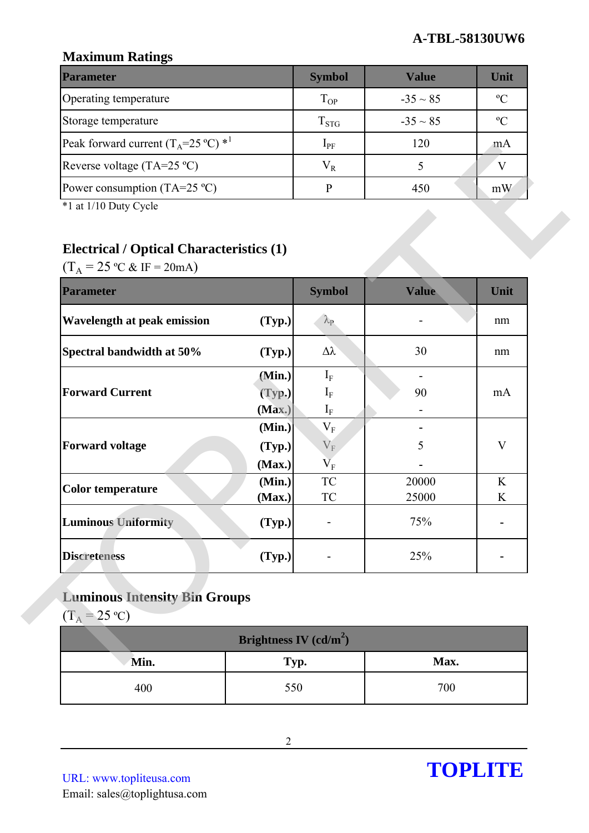## **Maximum Ratings**

| <b>Parameter</b>                                        | <b>Symbol</b> | <b>Value</b>  | Unit           |
|---------------------------------------------------------|---------------|---------------|----------------|
| Operating temperature                                   | $T_{OP}$      | $-35 \sim 85$ | $\mathcal{O}$  |
| Storage temperature                                     | $T_{STG}$     | $-35 \sim 85$ | $\mathfrak{O}$ |
| Peak forward current $(T_A=25 \degree C)$ <sup>*1</sup> | $1_{\rm PF}$  | 120           | m A            |
| Reverse voltage (TA=25 $^{\circ}$ C)                    | $V_{R}$       |               |                |
| Power consumption (TA=25 $^{\circ}$ C)                  |               | 450           | mW             |

## **Electrical / Optical Characteristics (1)**

| Peak forward current $(T_A=25 \degree C)^*$                                                                                       |                            | $1_{PF}$                                           | 120                            | mA          |
|-----------------------------------------------------------------------------------------------------------------------------------|----------------------------|----------------------------------------------------|--------------------------------|-------------|
| Reverse voltage (TA=25 °C)                                                                                                        |                            | $V_R$                                              | 5                              | $\mathbf V$ |
| Power consumption (TA=25 $^{\circ}$ C)                                                                                            |                            | $\mathbf{P}$                                       | 450                            | mW          |
| *1 at 1/10 Duty Cycle<br><b>Electrical / Optical Characteristics (1)</b><br>$(T_A = 25 \text{ °C} \& \text{ IF} = 20 \text{ mA})$ |                            |                                                    |                                |             |
| <b>Parameter</b>                                                                                                                  |                            | <b>Symbol</b>                                      | Value                          | Unit        |
| <b>Wavelength at peak emission</b>                                                                                                | (Typ.)                     | $\lambda_{\rm P}$                                  |                                | nm          |
| Spectral bandwidth at 50%                                                                                                         | (Typ.)                     | $\Delta \lambda$                                   | 30                             | nm          |
| <b>Forward Current</b>                                                                                                            | (Min.)<br>(Typ.)<br>(Max.) | $I_{\rm F}$<br>$I_{\rm F}$<br>$\mathbf{I}_{\rm F}$ | $\overline{\phantom{0}}$<br>90 | mA          |
| <b>Forward voltage</b>                                                                                                            | (Min.)<br>(Typ.)<br>(Max.) | $\rm V_F$<br>$V_{F}$<br>$\rm V_F$                  | 5                              | $\mathbf V$ |
| <b>Color temperature</b>                                                                                                          | (Min.)<br>(Max.)           | <b>TC</b><br>TC                                    | 20000<br>25000                 | K<br>K      |
| <b>Luminous Uniformity</b>                                                                                                        | (Typ.)                     |                                                    | 75%                            |             |
| <b>Discreteness</b>                                                                                                               | (Typ.)                     |                                                    | 25%                            |             |
| <b>Luminous Intensity Bin Groups</b><br>$(T_A = 25 °C)$                                                                           | Brightness IV $(cd/m^2)$   |                                                    |                                |             |
| Min.                                                                                                                              | Typ.                       |                                                    | Max.                           |             |
| 400                                                                                                                               | 550                        |                                                    | 700                            |             |

## **Luminous Intensity Bin Groups**

| Brightness IV $(cd/m^2)$ |      |      |  |  |
|--------------------------|------|------|--|--|
| Min.                     | Typ. | Max. |  |  |
| 400                      | 550  | 700  |  |  |

URL: www.topliteusa.com Email: sales@toplightusa.com

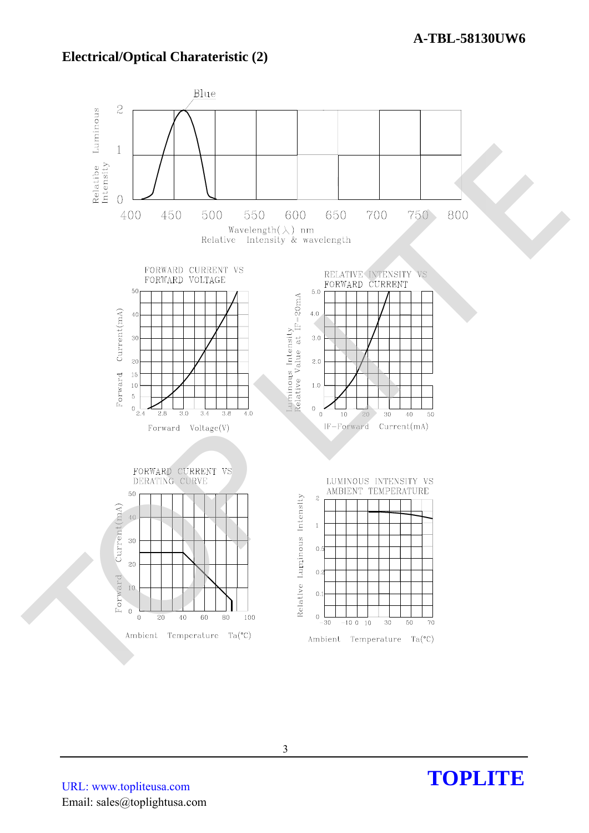### **Electrical/Optical Charateristic (2)**



URL: www.topliteusa.com Email: sales@toplightusa.com

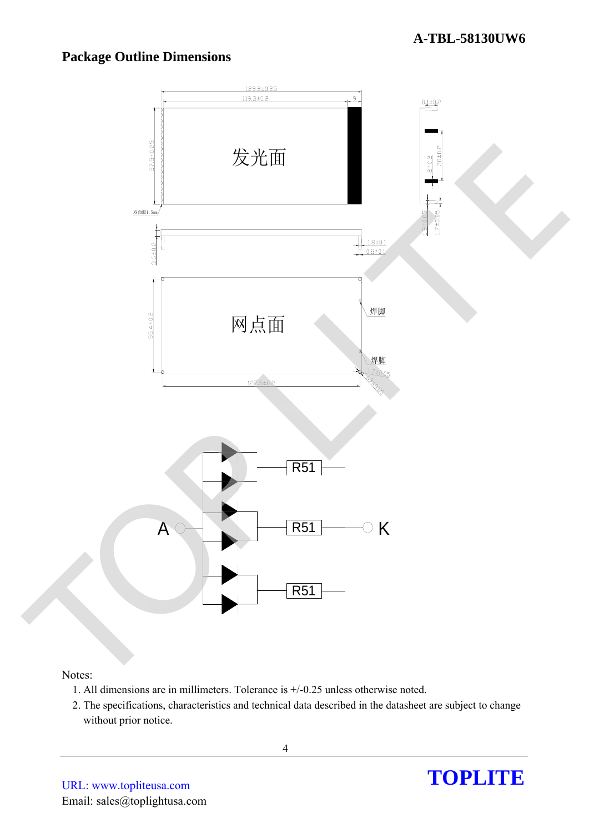### **Package Outline Dimensions**



#### Notes:

- 1. All dimensions are in millimeters. Tolerance is +/-0.25 unless otherwise noted.
- 2. The specifications, characteristics and technical data described in the datasheet are subject to change without prior notice.